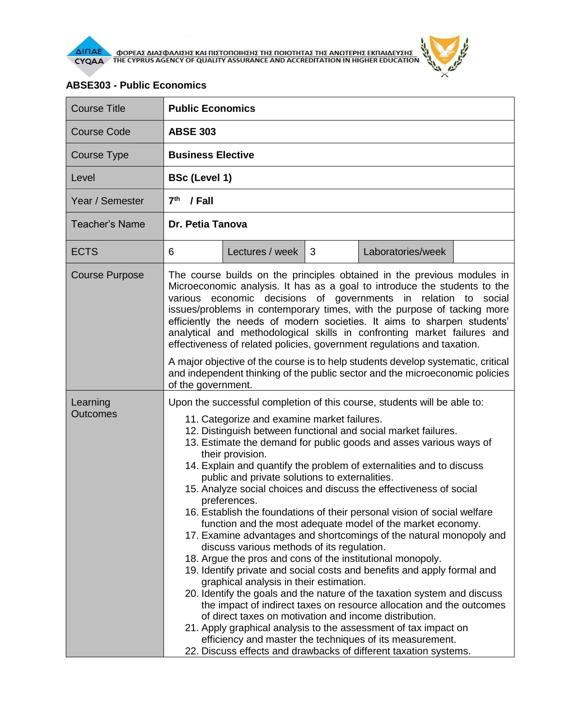

 $\lambda$ 

| <b>Course Title</b>   | <b>Public Economics</b>                                                                                                                                                                                                                                                                                                                                                                                                                                                                                                                                                                                                                                                                                                                                                                                                                                                                                                                                                                                                                                                                                                                                                                                                                                                                                                                                                                        |                 |   |                   |  |  |
|-----------------------|------------------------------------------------------------------------------------------------------------------------------------------------------------------------------------------------------------------------------------------------------------------------------------------------------------------------------------------------------------------------------------------------------------------------------------------------------------------------------------------------------------------------------------------------------------------------------------------------------------------------------------------------------------------------------------------------------------------------------------------------------------------------------------------------------------------------------------------------------------------------------------------------------------------------------------------------------------------------------------------------------------------------------------------------------------------------------------------------------------------------------------------------------------------------------------------------------------------------------------------------------------------------------------------------------------------------------------------------------------------------------------------------|-----------------|---|-------------------|--|--|
| <b>Course Code</b>    | <b>ABSE 303</b>                                                                                                                                                                                                                                                                                                                                                                                                                                                                                                                                                                                                                                                                                                                                                                                                                                                                                                                                                                                                                                                                                                                                                                                                                                                                                                                                                                                |                 |   |                   |  |  |
| <b>Course Type</b>    | <b>Business Elective</b>                                                                                                                                                                                                                                                                                                                                                                                                                                                                                                                                                                                                                                                                                                                                                                                                                                                                                                                                                                                                                                                                                                                                                                                                                                                                                                                                                                       |                 |   |                   |  |  |
| Level                 | <b>BSc (Level 1)</b>                                                                                                                                                                                                                                                                                                                                                                                                                                                                                                                                                                                                                                                                                                                                                                                                                                                                                                                                                                                                                                                                                                                                                                                                                                                                                                                                                                           |                 |   |                   |  |  |
| Year / Semester       | 7 <sup>th</sup><br>/ Fall                                                                                                                                                                                                                                                                                                                                                                                                                                                                                                                                                                                                                                                                                                                                                                                                                                                                                                                                                                                                                                                                                                                                                                                                                                                                                                                                                                      |                 |   |                   |  |  |
| <b>Teacher's Name</b> | Dr. Petia Tanova                                                                                                                                                                                                                                                                                                                                                                                                                                                                                                                                                                                                                                                                                                                                                                                                                                                                                                                                                                                                                                                                                                                                                                                                                                                                                                                                                                               |                 |   |                   |  |  |
| <b>ECTS</b>           | 6                                                                                                                                                                                                                                                                                                                                                                                                                                                                                                                                                                                                                                                                                                                                                                                                                                                                                                                                                                                                                                                                                                                                                                                                                                                                                                                                                                                              | Lectures / week | 3 | Laboratories/week |  |  |
| <b>Course Purpose</b> | The course builds on the principles obtained in the previous modules in<br>Microeconomic analysis. It has as a goal to introduce the students to the<br>various economic decisions of governments in relation to social<br>issues/problems in contemporary times, with the purpose of tacking more<br>efficiently the needs of modern societies. It aims to sharpen students'<br>analytical and methodological skills in confronting market failures and<br>effectiveness of related policies, government regulations and taxation.<br>A major objective of the course is to help students develop systematic, critical<br>and independent thinking of the public sector and the microeconomic policies                                                                                                                                                                                                                                                                                                                                                                                                                                                                                                                                                                                                                                                                                        |                 |   |                   |  |  |
| Learning<br>Outcomes  | of the government.<br>Upon the successful completion of this course, students will be able to:<br>11. Categorize and examine market failures.<br>12. Distinguish between functional and social market failures.<br>13. Estimate the demand for public goods and asses various ways of<br>their provision.<br>14. Explain and quantify the problem of externalities and to discuss<br>public and private solutions to externalities.<br>15. Analyze social choices and discuss the effectiveness of social<br>preferences.<br>16. Establish the foundations of their personal vision of social welfare<br>function and the most adequate model of the market economy.<br>17. Examine advantages and shortcomings of the natural monopoly and<br>discuss various methods of its regulation.<br>18. Argue the pros and cons of the institutional monopoly.<br>19. Identify private and social costs and benefits and apply formal and<br>graphical analysis in their estimation.<br>20. Identify the goals and the nature of the taxation system and discuss<br>the impact of indirect taxes on resource allocation and the outcomes<br>of direct taxes on motivation and income distribution.<br>21. Apply graphical analysis to the assessment of tax impact on<br>efficiency and master the techniques of its measurement.<br>22. Discuss effects and drawbacks of different taxation systems. |                 |   |                   |  |  |

## **ABSE303 - Public Economics**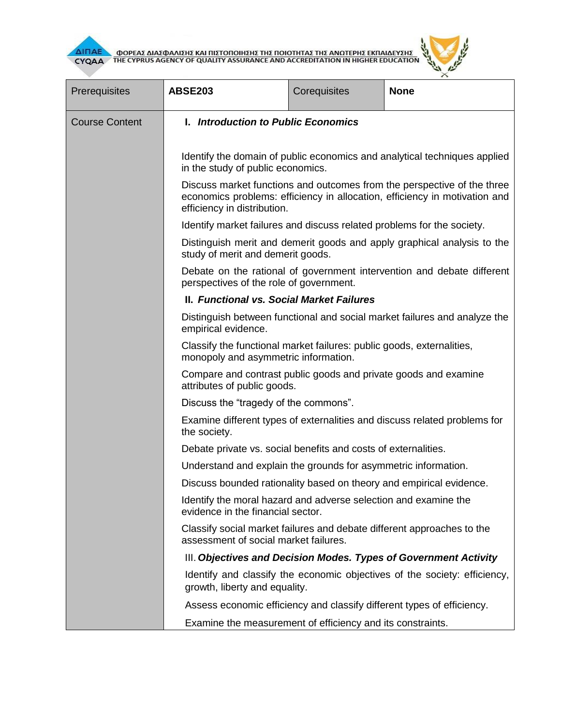



| Prerequisites         | <b>ABSE203</b>                                                                                                                                                                       | Corequisites                                                                                   | <b>None</b> |  |  |  |
|-----------------------|--------------------------------------------------------------------------------------------------------------------------------------------------------------------------------------|------------------------------------------------------------------------------------------------|-------------|--|--|--|
| <b>Course Content</b> | I. Introduction to Public Economics                                                                                                                                                  |                                                                                                |             |  |  |  |
|                       | Identify the domain of public economics and analytical techniques applied<br>in the study of public economics.                                                                       |                                                                                                |             |  |  |  |
|                       | Discuss market functions and outcomes from the perspective of the three<br>economics problems: efficiency in allocation, efficiency in motivation and<br>efficiency in distribution. |                                                                                                |             |  |  |  |
|                       | Identify market failures and discuss related problems for the society.                                                                                                               |                                                                                                |             |  |  |  |
|                       | Distinguish merit and demerit goods and apply graphical analysis to the<br>study of merit and demerit goods.                                                                         |                                                                                                |             |  |  |  |
|                       | Debate on the rational of government intervention and debate different<br>perspectives of the role of government.                                                                    |                                                                                                |             |  |  |  |
|                       | II. Functional vs. Social Market Failures                                                                                                                                            |                                                                                                |             |  |  |  |
|                       | Distinguish between functional and social market failures and analyze the<br>empirical evidence.                                                                                     |                                                                                                |             |  |  |  |
|                       | Classify the functional market failures: public goods, externalities,<br>monopoly and asymmetric information.                                                                        |                                                                                                |             |  |  |  |
|                       |                                                                                                                                                                                      | Compare and contrast public goods and private goods and examine<br>attributes of public goods. |             |  |  |  |
|                       | Discuss the "tragedy of the commons".                                                                                                                                                |                                                                                                |             |  |  |  |
|                       | Examine different types of externalities and discuss related problems for<br>the society.                                                                                            |                                                                                                |             |  |  |  |
|                       | Debate private vs. social benefits and costs of externalities.                                                                                                                       |                                                                                                |             |  |  |  |
|                       | Understand and explain the grounds for asymmetric information.                                                                                                                       |                                                                                                |             |  |  |  |
|                       | Discuss bounded rationality based on theory and empirical evidence.                                                                                                                  |                                                                                                |             |  |  |  |
|                       | Identify the moral hazard and adverse selection and examine the<br>evidence in the financial sector.                                                                                 |                                                                                                |             |  |  |  |
|                       | Classify social market failures and debate different approaches to the<br>assessment of social market failures.                                                                      |                                                                                                |             |  |  |  |
|                       | III. Objectives and Decision Modes. Types of Government Activity                                                                                                                     |                                                                                                |             |  |  |  |
|                       | Identify and classify the economic objectives of the society: efficiency,<br>growth, liberty and equality.                                                                           |                                                                                                |             |  |  |  |
|                       | Assess economic efficiency and classify different types of efficiency.                                                                                                               |                                                                                                |             |  |  |  |
|                       | Examine the measurement of efficiency and its constraints.                                                                                                                           |                                                                                                |             |  |  |  |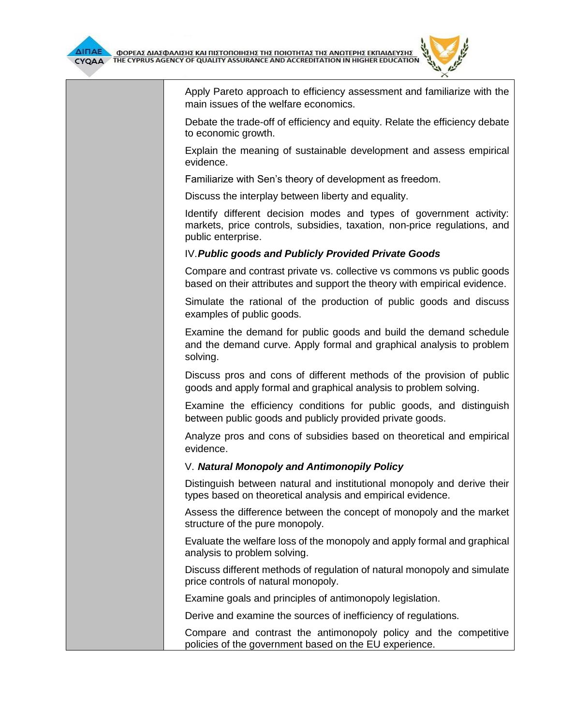

Apply Pareto approach to efficiency assessment and familiarize with the main issues of the welfare economics.

Debate the trade-off of efficiency and equity. Relate the efficiency debate to economic growth.

Explain the meaning of sustainable development and assess empirical evidence.

Familiarize with Sen's theory of development as freedom.

Discuss the interplay between liberty and equality.

Identify different decision modes and types of government activity: markets, price controls, subsidies, taxation, non-price regulations, and public enterprise.

## IV.*Public goods and Publicly Provided Private Goods*

Compare and contrast private vs. collective vs commons vs public goods based on their attributes and support the theory with empirical evidence.

Simulate the rational of the production of public goods and discuss examples of public goods.

Examine the demand for public goods and build the demand schedule and the demand curve. Apply formal and graphical analysis to problem solving.

Discuss pros and cons of different methods of the provision of public goods and apply formal and graphical analysis to problem solving.

Examine the efficiency conditions for public goods, and distinguish between public goods and publicly provided private goods.

Analyze pros and cons of subsidies based on theoretical and empirical evidence.

## V. *Natural Monopoly and Antimonopily Policy*

Distinguish between natural and institutional monopoly and derive their types based on theoretical analysis and empirical evidence.

Assess the difference between the concept of monopoly and the market structure of the pure monopoly.

Evaluate the welfare loss of the monopoly and apply formal and graphical analysis to problem solving.

Discuss different methods of regulation of natural monopoly and simulate price controls of natural monopoly.

Examine goals and principles of antimonopoly legislation.

Derive and examine the sources of inefficiency of regulations.

Compare and contrast the antimonopoly policy and the competitive policies of the government based on the EU experience.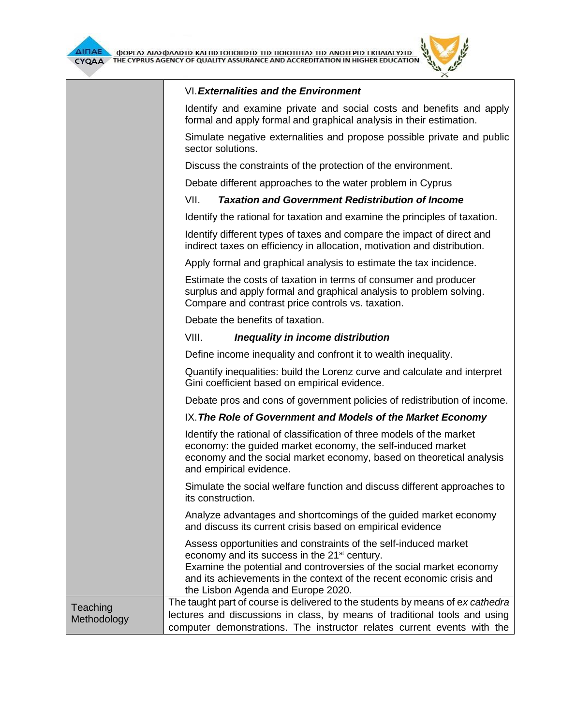



## VI.*Externalities and the Environment*

|                         | Identify and examine private and social costs and benefits and apply<br>formal and apply formal and graphical analysis in their estimation.                                                                                                                                                                        |  |  |  |  |
|-------------------------|--------------------------------------------------------------------------------------------------------------------------------------------------------------------------------------------------------------------------------------------------------------------------------------------------------------------|--|--|--|--|
|                         | Simulate negative externalities and propose possible private and public<br>sector solutions.                                                                                                                                                                                                                       |  |  |  |  |
|                         | Discuss the constraints of the protection of the environment.                                                                                                                                                                                                                                                      |  |  |  |  |
|                         | Debate different approaches to the water problem in Cyprus                                                                                                                                                                                                                                                         |  |  |  |  |
|                         | VII.<br><b>Taxation and Government Redistribution of Income</b>                                                                                                                                                                                                                                                    |  |  |  |  |
|                         | Identify the rational for taxation and examine the principles of taxation.                                                                                                                                                                                                                                         |  |  |  |  |
|                         | Identify different types of taxes and compare the impact of direct and<br>indirect taxes on efficiency in allocation, motivation and distribution.                                                                                                                                                                 |  |  |  |  |
|                         | Apply formal and graphical analysis to estimate the tax incidence.                                                                                                                                                                                                                                                 |  |  |  |  |
|                         | Estimate the costs of taxation in terms of consumer and producer<br>surplus and apply formal and graphical analysis to problem solving.<br>Compare and contrast price controls vs. taxation.                                                                                                                       |  |  |  |  |
|                         | Debate the benefits of taxation.                                                                                                                                                                                                                                                                                   |  |  |  |  |
|                         | VIII.<br>Inequality in income distribution                                                                                                                                                                                                                                                                         |  |  |  |  |
|                         | Define income inequality and confront it to wealth inequality.                                                                                                                                                                                                                                                     |  |  |  |  |
|                         | Quantify inequalities: build the Lorenz curve and calculate and interpret<br>Gini coefficient based on empirical evidence.                                                                                                                                                                                         |  |  |  |  |
|                         | Debate pros and cons of government policies of redistribution of income.                                                                                                                                                                                                                                           |  |  |  |  |
|                         | IX. The Role of Government and Models of the Market Economy                                                                                                                                                                                                                                                        |  |  |  |  |
|                         | Identify the rational of classification of three models of the market<br>economy: the guided market economy, the self-induced market<br>economy and the social market economy, based on theoretical analysis<br>and empirical evidence.                                                                            |  |  |  |  |
|                         | Simulate the social welfare function and discuss different approaches to<br>its construction.                                                                                                                                                                                                                      |  |  |  |  |
|                         | Analyze advantages and shortcomings of the guided market economy<br>and discuss its current crisis based on empirical evidence                                                                                                                                                                                     |  |  |  |  |
|                         | Assess opportunities and constraints of the self-induced market<br>economy and its success in the 21 <sup>st</sup> century.<br>Examine the potential and controversies of the social market economy<br>and its achievements in the context of the recent economic crisis and<br>the Lisbon Agenda and Europe 2020. |  |  |  |  |
| Teaching<br>Methodology | The taught part of course is delivered to the students by means of ex cathedra<br>lectures and discussions in class, by means of traditional tools and using<br>computer demonstrations. The instructor relates current events with the                                                                            |  |  |  |  |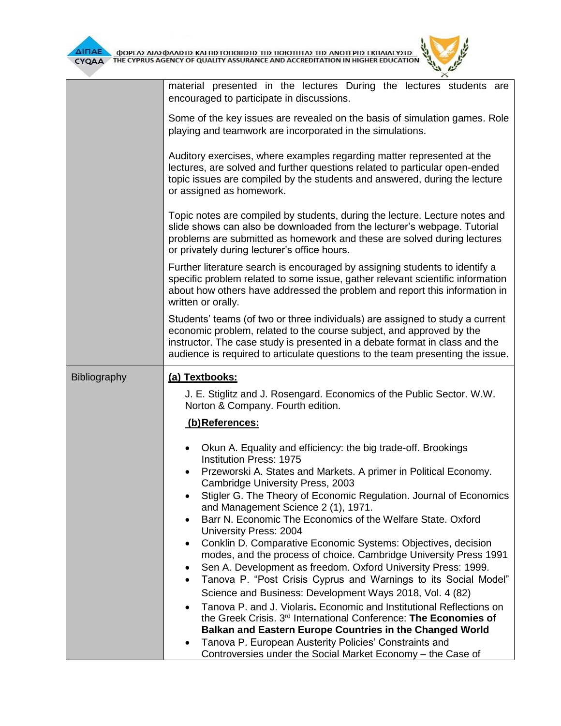

 $\overline{L}$  $\times$ 

|              | material presented in the lectures During the lectures students are<br>encouraged to participate in discussions.                                                                                                                                                                                                       |  |  |  |  |  |
|--------------|------------------------------------------------------------------------------------------------------------------------------------------------------------------------------------------------------------------------------------------------------------------------------------------------------------------------|--|--|--|--|--|
|              | Some of the key issues are revealed on the basis of simulation games. Role<br>playing and teamwork are incorporated in the simulations.                                                                                                                                                                                |  |  |  |  |  |
|              | Auditory exercises, where examples regarding matter represented at the<br>lectures, are solved and further questions related to particular open-ended<br>topic issues are compiled by the students and answered, during the lecture<br>or assigned as homework.                                                        |  |  |  |  |  |
|              | Topic notes are compiled by students, during the lecture. Lecture notes and<br>slide shows can also be downloaded from the lecturer's webpage. Tutorial<br>problems are submitted as homework and these are solved during lectures<br>or privately during lecturer's office hours.                                     |  |  |  |  |  |
|              | Further literature search is encouraged by assigning students to identify a<br>specific problem related to some issue, gather relevant scientific information<br>about how others have addressed the problem and report this information in<br>written or orally.                                                      |  |  |  |  |  |
|              | Students' teams (of two or three individuals) are assigned to study a current<br>economic problem, related to the course subject, and approved by the<br>instructor. The case study is presented in a debate format in class and the<br>audience is required to articulate questions to the team presenting the issue. |  |  |  |  |  |
| Bibliography | (a) Textbooks:<br>J. E. Stiglitz and J. Rosengard. Economics of the Public Sector. W.W.<br>Norton & Company. Fourth edition.<br>(b)References:                                                                                                                                                                         |  |  |  |  |  |
|              |                                                                                                                                                                                                                                                                                                                        |  |  |  |  |  |
|              |                                                                                                                                                                                                                                                                                                                        |  |  |  |  |  |
|              | Okun A. Equality and efficiency: the big trade-off. Brookings<br><b>Institution Press: 1975</b>                                                                                                                                                                                                                        |  |  |  |  |  |
|              | Przeworski A. States and Markets. A primer in Political Economy.<br>Cambridge University Press, 2003                                                                                                                                                                                                                   |  |  |  |  |  |
|              | Stigler G. The Theory of Economic Regulation. Journal of Economics<br>and Management Science 2 (1), 1971.                                                                                                                                                                                                              |  |  |  |  |  |
|              | Barr N. Economic The Economics of the Welfare State. Oxford<br>$\bullet$                                                                                                                                                                                                                                               |  |  |  |  |  |
|              | <b>University Press: 2004</b><br>Conklin D. Comparative Economic Systems: Objectives, decision<br>٠                                                                                                                                                                                                                    |  |  |  |  |  |
|              | modes, and the process of choice. Cambridge University Press 1991<br>Sen A. Development as freedom. Oxford University Press: 1999.<br>٠                                                                                                                                                                                |  |  |  |  |  |
|              | Tanova P. "Post Crisis Cyprus and Warnings to its Social Model"<br>$\bullet$                                                                                                                                                                                                                                           |  |  |  |  |  |
|              | Science and Business: Development Ways 2018, Vol. 4 (82)                                                                                                                                                                                                                                                               |  |  |  |  |  |
|              | Tanova P. and J. Violaris. Economic and Institutional Reflections on<br>$\bullet$<br>the Greek Crisis. 3 <sup>rd</sup> International Conference: The Economies of                                                                                                                                                      |  |  |  |  |  |
|              | Balkan and Eastern Europe Countries in the Changed World                                                                                                                                                                                                                                                               |  |  |  |  |  |
|              | Tanova P. European Austerity Policies' Constraints and                                                                                                                                                                                                                                                                 |  |  |  |  |  |
|              | Controversies under the Social Market Economy - the Case of                                                                                                                                                                                                                                                            |  |  |  |  |  |